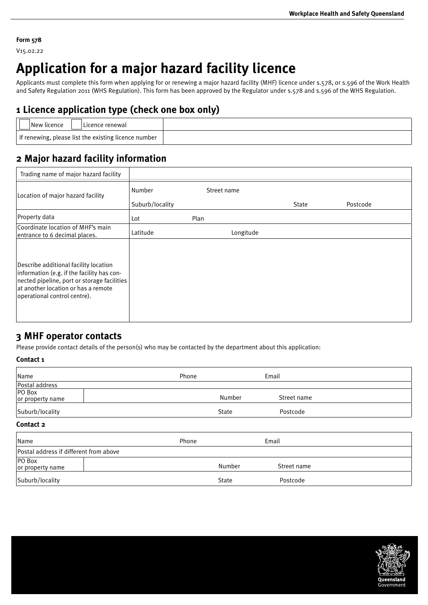### **Form 578**

V15.02.22

# **Application for a major hazard facility licence**

Applicants must complete this form when applying for or renewing a major hazard facility (MHF) licence under s.578, or s.596 of the Work Health and Safety Regulation 2011 (WHS Regulation). This form has been approved by the Regulator under s.578 and s.596 of the WHS Regulation.

## **1 Licence application type (check one box only)**

| New licence<br>! Licence renewal                                   |  |
|--------------------------------------------------------------------|--|
| $\mid$ If renewing, please list the existing licence number $\mid$ |  |

## **2 Major hazard facility information**

| Trading name of major hazard facility                                                                                                                                                                     |                           |             |       |          |
|-----------------------------------------------------------------------------------------------------------------------------------------------------------------------------------------------------------|---------------------------|-------------|-------|----------|
| Location of major hazard facility                                                                                                                                                                         | Number<br>Suburb/locality | Street name | State | Postcode |
| Property data                                                                                                                                                                                             | Lot                       | Plan        |       |          |
| Coordinate location of MHF's main<br>entrance to 6 decimal places.                                                                                                                                        | Latitude                  | Longitude   |       |          |
| Describe additional facility location<br>information (e.g. if the facility has con-<br>nected pipeline, port or storage facilities<br>at another location or has a remote<br>operational control centre). |                           |             |       |          |

## **3 MHF operator contacts**

Please provide contact details of the person(s) who may be contacted by the department about this application:

## **Contact 1**

| Name                                   | Phone | Email        |             |
|----------------------------------------|-------|--------------|-------------|
| Postal address                         |       |              |             |
| <b>PO Box</b><br>or property name      |       | Number       | Street name |
| Suburb/locality                        |       | <b>State</b> | Postcode    |
| Contact 2                              |       |              |             |
| Name                                   | Phone | Email        |             |
| Postal address if different from above |       |              |             |
| PO Box<br>or property name             |       | Number       | Street name |
| Suburb/locality                        |       | <b>State</b> | Postcode    |

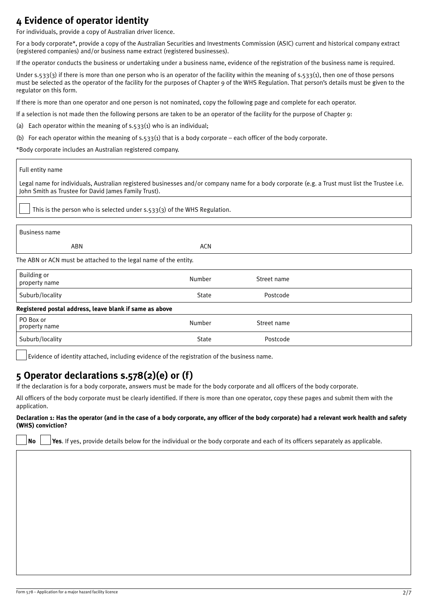## **4 Evidence of operator identity**

For individuals, provide a copy of Australian driver licence.

For a body corporate\*, provide a copy of the Australian Securities and Investments Commission (ASIC) current and historical company extract (registered companies) and/or business name extract (registered businesses).

If the operator conducts the business or undertaking under a business name, evidence of the registration of the business name is required.

Under s.533(3) if there is more than one person who is an operator of the facility within the meaning of s.533(1), then one of those persons must be selected as the operator of the facility for the purposes of Chapter 9 of the WHS Regulation. That person's details must be given to the regulator on this form.

If there is more than one operator and one person is not nominated, copy the following page and complete for each operator.

If a selection is not made then the following persons are taken to be an operator of the facility for the purpose of Chapter 9:

(a) Each operator within the meaning of  $s.533(1)$  who is an individual;

(b) For each operator within the meaning of s.533(1) that is a body corporate – each officer of the body corporate.

\*Body corporate includes an Australian registered company.

### Full entity name

Legal name for individuals, Australian registered businesses and/or company name for a body corporate (e.g. a Trust must list the Trustee i.e. John Smith as Trustee for David James Family Trust).

This is the person who is selected under s.533(3) of the WHS Regulation.

| <b>Business name</b>                                             |            |             |  |  |
|------------------------------------------------------------------|------------|-------------|--|--|
| ABN                                                              | <b>ACN</b> |             |  |  |
| The ABN or ACN must be attached to the legal name of the entity. |            |             |  |  |
| <b>Building or</b><br>property name                              | Number     | Street name |  |  |
| Suburb/locality                                                  | State      | Postcode    |  |  |
| Registered postal address, leave blank if same as above          |            |             |  |  |

| PO Box or<br>property name | Number       | Street name |  |
|----------------------------|--------------|-------------|--|
| Suburb/locality            | <b>State</b> | Postcode    |  |

Evidence of identity attached, including evidence of the registration of the business name.

## **5 Operator declarations s.578(2)(e) or (f)**

If the declaration is for a body corporate, answers must be made for the body corporate and all officers of the body corporate.

All officers of the body corporate must be clearly identified. If there is more than one operator, copy these pages and submit them with the application.

#### **Declaration 1: Has the operator (and in the case of a body corporate, any officer of the body corporate) had a relevant work health and safety (WHS) conviction?**

**No Yes**. If yes, provide details below for the individual or the body corporate and each of its officers separately as applicable.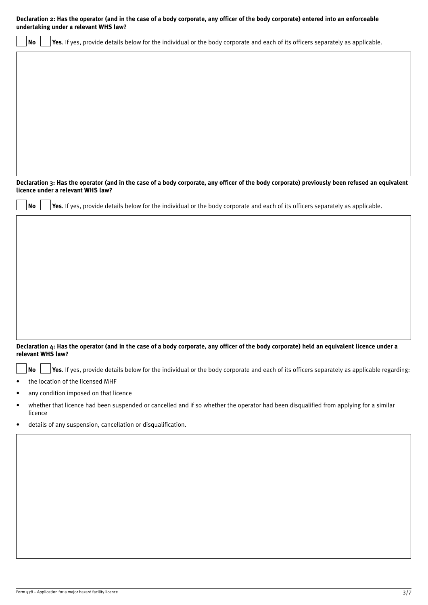| Declaration 2: Has the operator (and in the case of a body corporate, any officer of the body corporate) entered into an enforceable<br>undertaking under a relevant WHS law? |         |  |                                                                                                                                                                  |
|-------------------------------------------------------------------------------------------------------------------------------------------------------------------------------|---------|--|------------------------------------------------------------------------------------------------------------------------------------------------------------------|
|                                                                                                                                                                               | No      |  | Yes. If yes, provide details below for the individual or the body corporate and each of its officers separately as applicable.                                   |
|                                                                                                                                                                               |         |  |                                                                                                                                                                  |
|                                                                                                                                                                               |         |  |                                                                                                                                                                  |
|                                                                                                                                                                               |         |  |                                                                                                                                                                  |
|                                                                                                                                                                               |         |  |                                                                                                                                                                  |
|                                                                                                                                                                               |         |  |                                                                                                                                                                  |
|                                                                                                                                                                               |         |  |                                                                                                                                                                  |
|                                                                                                                                                                               |         |  |                                                                                                                                                                  |
|                                                                                                                                                                               |         |  |                                                                                                                                                                  |
|                                                                                                                                                                               |         |  | Declaration 3: Has the operator (and in the case of a body corporate, any officer of the body corporate) previously been refused an equivalent                   |
|                                                                                                                                                                               |         |  | licence under a relevant WHS law?                                                                                                                                |
|                                                                                                                                                                               | No      |  | Yes. If yes, provide details below for the individual or the body corporate and each of its officers separately as applicable.                                   |
|                                                                                                                                                                               |         |  |                                                                                                                                                                  |
|                                                                                                                                                                               |         |  |                                                                                                                                                                  |
|                                                                                                                                                                               |         |  |                                                                                                                                                                  |
|                                                                                                                                                                               |         |  |                                                                                                                                                                  |
|                                                                                                                                                                               |         |  |                                                                                                                                                                  |
|                                                                                                                                                                               |         |  |                                                                                                                                                                  |
|                                                                                                                                                                               |         |  |                                                                                                                                                                  |
|                                                                                                                                                                               |         |  |                                                                                                                                                                  |
|                                                                                                                                                                               |         |  | Declaration 4: Has the operator (and in the case of a body corporate, any officer of the body corporate) held an equivalent licence under a<br>relevant WHS law? |
|                                                                                                                                                                               | No      |  | Yes. If yes, provide details below for the individual or the body corporate and each of its officers separately as applicable regarding:                         |
| ٠                                                                                                                                                                             |         |  | the location of the licensed MHF                                                                                                                                 |
| ٠                                                                                                                                                                             |         |  | any condition imposed on that licence                                                                                                                            |
| $\bullet$                                                                                                                                                                     | licence |  | whether that licence had been suspended or cancelled and if so whether the operator had been disqualified from applying for a similar                            |
| ٠                                                                                                                                                                             |         |  | details of any suspension, cancellation or disqualification.                                                                                                     |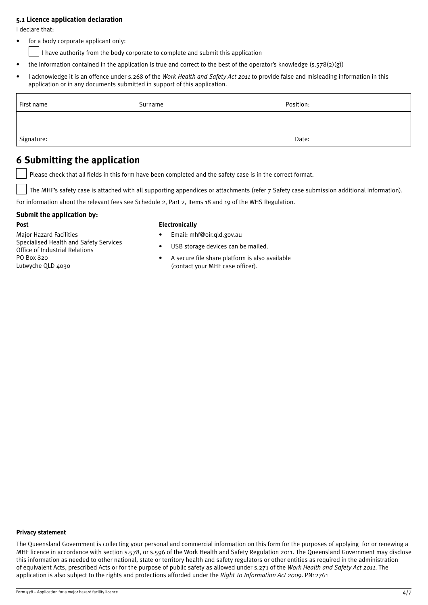### **5.1 Licence application declaration**

I declare that:

for a body corporate applicant only:

I have authority from the body corporate to complete and submit this application

- the information contained in the application is true and correct to the best of the operator's knowledge  $(s, 578(2)(g))$
- I acknowledge it is an offence under s.268 of the *Work Health and Safety Act 2011* to provide false and misleading information in this application or in any documents submitted in support of this application.

| First name | Surname | Position: |
|------------|---------|-----------|
|            |         |           |
| Signature: |         | Date:     |

## **6 Submitting the application**

Please check that all fields in this form have been completed and the safety case is in the correct format.

The MHF's safety case is attached with all supporting appendices or attachments (refer 7 Safety case submission additional information).

For information about the relevant fees see Schedule 2, Part 2, Items 18 and 19 of the WHS Regulation.

## **Submit the application by:**

#### **Post**

Major Hazard Facilities Specialised Health and Safety Services Office of Industrial Relations PO Box 820 Lutwyche OLD 4030

## **Electronically**

- Email: mhf@oir.qld.gov.au
- USB storage devices can be mailed.
- A secure file share platform is also available (contact your MHF case officer).

#### **Privacy statement**

The Queensland Government is collecting your personal and commercial information on this form for the purposes of applying for or renewing a MHF licence in accordance with section s.578, or s.596 of the Work Health and Safety Regulation 2011. The Queensland Government may disclose this information as needed to other national, state or territory health and safety regulators or other entities as required in the administration of equivalent Acts, prescribed Acts or for the purpose of public safety as allowed under s.271 of the *Work Health and Safety Act 2011*. The application is also subject to the rights and protections afforded under the *Right To Information Act 2009*. PN12761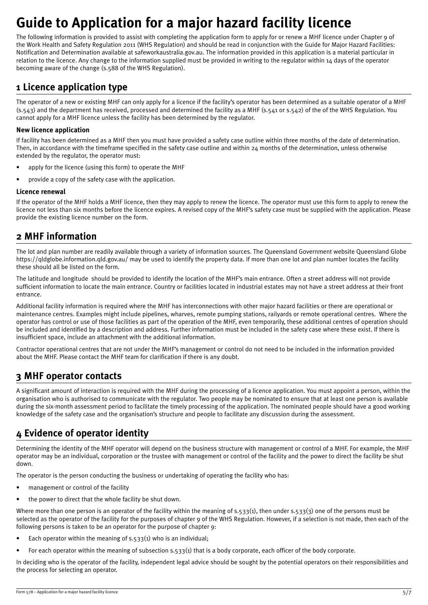# **Guide to Application for a major hazard facility licence**

The following information is provided to assist with completing the application form to apply for or renew a MHF licence under Chapter 9 of the Work Health and Safety Regulation 2011 (WHS Regulation) and should be read in conjunction with the Guide for Major Hazard Facilities: Notification and Determination available at safeworkaustralia.gov.au. The information provided in this application is a material particular in relation to the licence. Any change to the information supplied must be provided in writing to the regulator within 14 days of the operator becoming aware of the change (s.588 of the WHS Regulation).

## **1 Licence application type**

The operator of a new or existing MHF can only apply for a licence if the facility's operator has been determined as a suitable operator of a MHF (s.543) and the department has received, processed and determined the facility as a MHF (s.541 or s.542) of the of the WHS Regulation. You cannot apply for a MHF licence unless the facility has been determined by the regulator.

## **New licence application**

If facility has been determined as a MHF then you must have provided a safety case outline within three months of the date of determination. Then, in accordance with the timeframe specified in the safety case outline and within  $24$  months of the determination, unless otherwise extended by the regulator, the operator must:

- apply for the licence (using this form) to operate the MHF
- provide a copy of the safety case with the application.

## **Licence renewal**

If the operator of the MHF holds a MHF licence, then they may apply to renew the licence. The operator must use this form to apply to renew the licence not less than six months before the licence expires. A revised copy of the MHF's safety case must be supplied with the application. Please provide the existing licence number on the form.

## **2 MHF information**

The lot and plan number are readily available through a variety of information sources. The Queensland Government website Queensland Globe <https://qldglobe.information.qld.gov.au/> may be used to identify the property data. If more than one lot and plan number locates the facility these should all be listed on the form.

The latitude and longitude should be provided to identify the location of the MHF's main entrance. Often a street address will not provide sufficient information to locate the main entrance. Country or facilities located in industrial estates may not have a street address at their front entrance.

Additional facility information is required where the MHF has interconnections with other major hazard facilities or there are operational or maintenance centres. Examples might include pipelines, wharves, remote pumping stations, railyards or remote operational centres. Where the operator has control or use of those facilities as part of the operation of the MHF, even temporarily, these additional centres of operation should be included and identified by a description and address. Further information must be included in the safety case where these exist. If there is insufficient space, include an attachment with the additional information.

Contractor operational centres that are not under the MHF's management or control do not need to be included in the information provided about the MHF. Please contact the MHF team for clarification if there is any doubt.

## **3 MHF operator contacts**

A significant amount of interaction is required with the MHF during the processing of a licence application. You must appoint a person, within the organisation who is authorised to communicate with the regulator. Two people may be nominated to ensure that at least one person is available during the six-month assessment period to facilitate the timely processing of the application. The nominated people should have a good working knowledge of the safety case and the organisation's structure and people to facilitate any discussion during the assessment.

## <span id="page-4-0"></span>**4 Evidence of operator identity**

Determining the identity of the MHF operator will depend on the business structure with management or control of a MHF. For example, the MHF operator may be an individual, corporation or the trustee with management or control of the facility and the power to direct the facility be shut down.

The operator is the person conducting the business or undertaking of operating the facility who has:

- management or control of the facility
- the power to direct that the whole facility be shut down.

Where more than one person is an operator of the facility within the meaning of  $s.533(1)$ , then under  $s.533(3)$  one of the persons must be selected as the operator of the facility for the purposes of chapter 9 of the WHS Regulation. However, if a selection is not made, then each of the following persons is taken to be an operator for the purpose of chapter 9:

- Each operator within the meaning of  $s.533(i)$  who is an individual;
- For each operator within the meaning of subsection  $s.\overline{s}33(1)$  that is a body corporate, each officer of the body corporate.

In deciding who is the operator of the facility, independent legal advice should be sought by the potential operators on their responsibilities and the process for selecting an operator.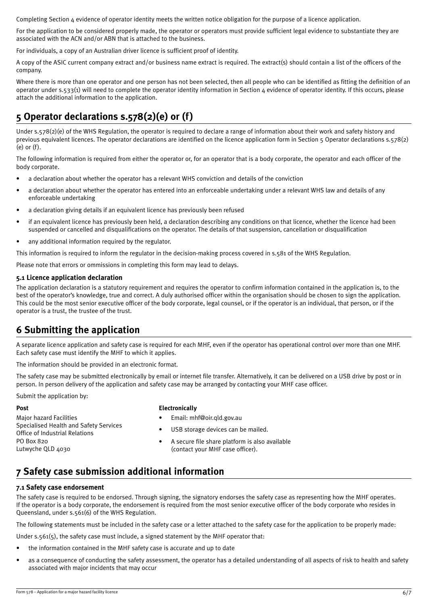Completing Section [4](#page-4-0) evidence of operator [identity](#page-4-0) meets the written notice obligation for the purpose of a licence application.

For the application to be considered properly made, the operator or operators must provide sufficient legal evidence to substantiate they are associated with the ACN and/or ABN that is attached to the business.

For individuals, a copy of an Australian driver licence is sufficient proof of identity.

A copy of the ASIC current company extract and/or business name extract is required. The extract(s) should contain a list of the officers of the company.

Where there is more than one operator and one person has not been selected, then all people who can be identified as fitting the definition of an operator under s.533(1) will need to complete the operator identity information in Section 4 evidence of operator identity. If this occurs, please attach the additional information to the application.

## **5 Operator declarations s.578(2)(e) or (f)**

Under s.578(2)(e) of the WHS Regulation, the operator is required to declare a range of information about their work and safety history and previous equivalent licences. The operator declarations are identified on the licence application form in Section 5 Operator declarations s.578(2) (e) or (f).

The following information is required from either the operator or, for an operator that is a body corporate, the operator and each officer of the body corporate.

- a declaration about whether the operator has a relevant WHS conviction and details of the conviction
- a declaration about whether the operator has entered into an enforceable undertaking under a relevant WHS law and details of any enforceable undertaking
- a declaration giving details if an equivalent licence has previously been refused
- if an equivalent licence has previously been held, a declaration describing any conditions on that licence, whether the licence had been suspended or cancelled and disqualifications on the operator. The details of that suspension, cancellation or disqualification
- any additional information required by the regulator.

This information is required to inform the regulator in the decision-making process covered in s.581 of the WHS Regulation.

Please note that errors or ommissions in completing this form may lead to delays.

#### **5.1 Licence application declaration**

The application declaration is a statutory requirement and requires the operator to confirm information contained in the application is, to the best of the operator's knowledge, true and correct. A duly authorised officer within the organisation should be chosen to sign the application. This could be the most senior executive officer of the body corporate, legal counsel, or if the operator is an individual, that person, or if the operator is a trust, the trustee of the trust.

## **6 Submitting the application**

A separate licence application and safety case is required for each MHF, even if the operator has operational control over more than one MHF. Each safety case must identify the MHF to which it applies.

The information should be provided in an electronic format.

The safety case may be submitted electronically by email or internet file transfer. Alternatively, it can be delivered on a USB drive by post or in person. In person delivery of the application and safety case may be arranged by contacting your MHF case officer.

Submit the application by:

#### **Post**

#### **Electronically**

- Major hazard Facilities Specialised Health and Safety Services Office of Industrial Relations PO Box 820 Lutwyche QLD 4030
- Email: mhf@oir.qld.gov.au
- USB storage devices can be mailed.
- A secure file share platform is also available (contact your MHF case officer).

## **7 Safety case submission additional information**

#### **7.1 Safety case endorsement**

The safety case is required to be endorsed. Through signing, the signatory endorses the safety case as representing how the MHF operates. If the operator is a body corporate, the endorsement is required from the most senior executive officer of the body corporate who resides in Queensland, under s.561(6) of the WHS Regulation.

The following statements must be included in the safety case or a letter attached to the safety case for the application to be properly made:

Under s.561(5), the safety case must include, a signed statement by the MHF operator that:

- the information contained in the MHF safety case is accurate and up to date
- as a consequence of conducting the safety assessment, the operator has a detailed understanding of all aspects of risk to health and safety associated with major incidents that may occur